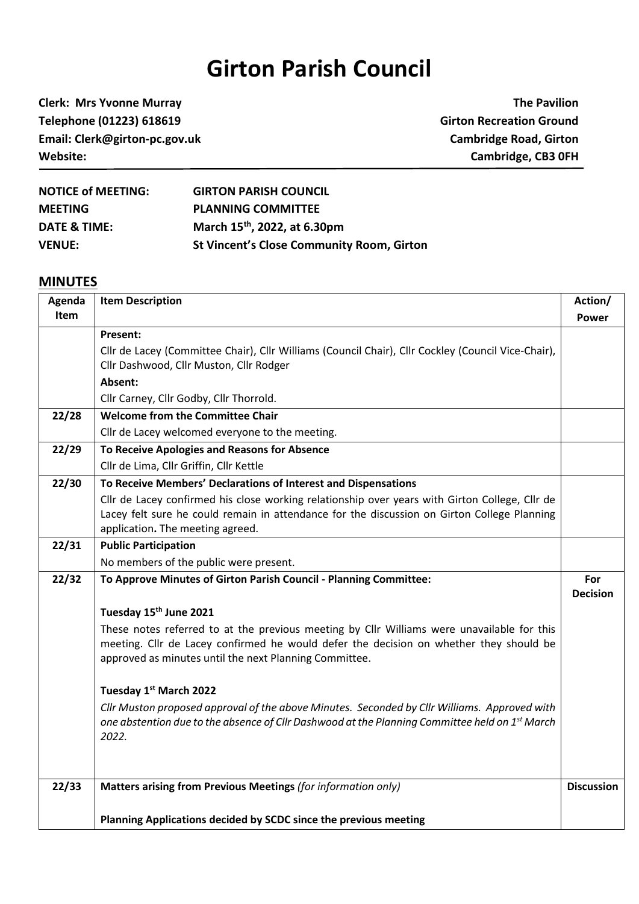## **Girton Parish Council**

**Clerk: Mrs Yvonne Murray The Pavilion Telephone (01223) 618619 Girton Recreation Ground Email: Clerk@girton-pc.gov.uk Cambridge Road, Girton Website: Cambridge, CB3 0FH**

| <b>NOTICE of MEETING:</b> | <b>GIRTON PARISH COUNCIL</b>                     |
|---------------------------|--------------------------------------------------|
| <b>MEETING</b>            | <b>PLANNING COMMITTEE</b>                        |
| DATE & TIME:              | March 15 <sup>th</sup> , 2022, at 6.30pm         |
| <b>VENUE:</b>             | <b>St Vincent's Close Community Room, Girton</b> |

## **MINUTES**

| Agenda      | <b>Item Description</b>                                                                                                                                                                                                                        | Action/                |
|-------------|------------------------------------------------------------------------------------------------------------------------------------------------------------------------------------------------------------------------------------------------|------------------------|
| <b>Item</b> |                                                                                                                                                                                                                                                | Power                  |
|             | <b>Present:</b>                                                                                                                                                                                                                                |                        |
|             | Cllr de Lacey (Committee Chair), Cllr Williams (Council Chair), Cllr Cockley (Council Vice-Chair),<br>Cllr Dashwood, Cllr Muston, Cllr Rodger                                                                                                  |                        |
|             | Absent:                                                                                                                                                                                                                                        |                        |
|             | Cllr Carney, Cllr Godby, Cllr Thorrold.                                                                                                                                                                                                        |                        |
| 22/28       | <b>Welcome from the Committee Chair</b>                                                                                                                                                                                                        |                        |
|             | Cllr de Lacey welcomed everyone to the meeting.                                                                                                                                                                                                |                        |
| 22/29       | To Receive Apologies and Reasons for Absence                                                                                                                                                                                                   |                        |
|             | Cllr de Lima, Cllr Griffin, Cllr Kettle                                                                                                                                                                                                        |                        |
| 22/30       | To Receive Members' Declarations of Interest and Dispensations                                                                                                                                                                                 |                        |
|             | Cllr de Lacey confirmed his close working relationship over years with Girton College, Cllr de<br>Lacey felt sure he could remain in attendance for the discussion on Girton College Planning                                                  |                        |
|             | application. The meeting agreed.                                                                                                                                                                                                               |                        |
| 22/31       | <b>Public Participation</b>                                                                                                                                                                                                                    |                        |
|             | No members of the public were present.                                                                                                                                                                                                         |                        |
| 22/32       | To Approve Minutes of Girton Parish Council - Planning Committee:                                                                                                                                                                              | For<br><b>Decision</b> |
|             | Tuesday 15th June 2021                                                                                                                                                                                                                         |                        |
|             | These notes referred to at the previous meeting by Cllr Williams were unavailable for this<br>meeting. Cllr de Lacey confirmed he would defer the decision on whether they should be<br>approved as minutes until the next Planning Committee. |                        |
|             | Tuesday 1st March 2022                                                                                                                                                                                                                         |                        |
|             | Cllr Muston proposed approval of the above Minutes. Seconded by Cllr Williams. Approved with<br>one abstention due to the absence of Cllr Dashwood at the Planning Committee held on 1 <sup>st</sup> March<br>2022.                            |                        |
| 22/33       | Matters arising from Previous Meetings (for information only)                                                                                                                                                                                  | <b>Discussion</b>      |
|             | Planning Applications decided by SCDC since the previous meeting                                                                                                                                                                               |                        |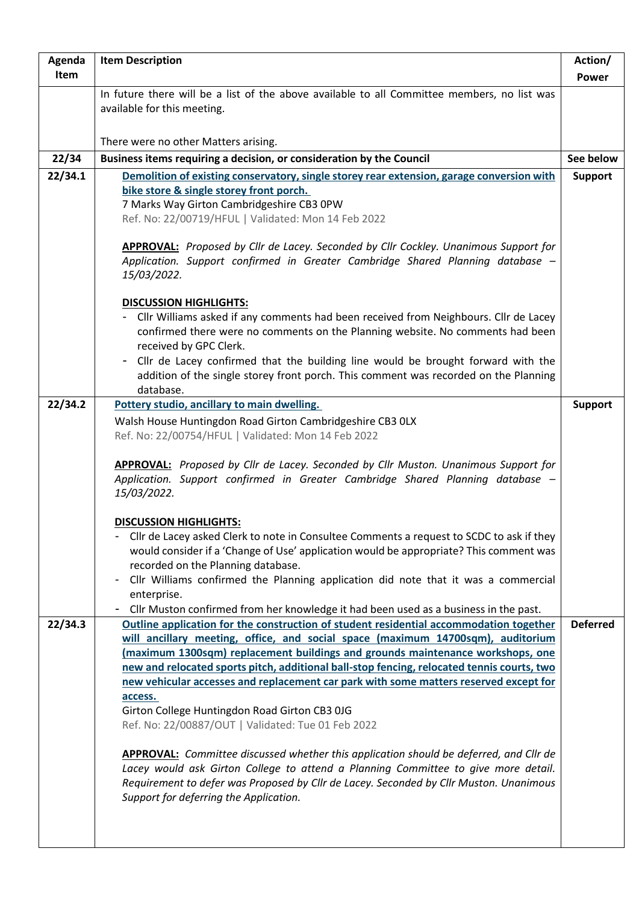| Agenda  | <b>Item Description</b>                                                                                                                                                                                                                                                                                                                                                                                                                                                                                                                                                                                                                                                                                                                                                                                                                                                                         | Action/         |
|---------|-------------------------------------------------------------------------------------------------------------------------------------------------------------------------------------------------------------------------------------------------------------------------------------------------------------------------------------------------------------------------------------------------------------------------------------------------------------------------------------------------------------------------------------------------------------------------------------------------------------------------------------------------------------------------------------------------------------------------------------------------------------------------------------------------------------------------------------------------------------------------------------------------|-----------------|
| Item    |                                                                                                                                                                                                                                                                                                                                                                                                                                                                                                                                                                                                                                                                                                                                                                                                                                                                                                 | <b>Power</b>    |
|         | In future there will be a list of the above available to all Committee members, no list was<br>available for this meeting.                                                                                                                                                                                                                                                                                                                                                                                                                                                                                                                                                                                                                                                                                                                                                                      |                 |
|         | There were no other Matters arising.                                                                                                                                                                                                                                                                                                                                                                                                                                                                                                                                                                                                                                                                                                                                                                                                                                                            |                 |
| 22/34   | Business items requiring a decision, or consideration by the Council                                                                                                                                                                                                                                                                                                                                                                                                                                                                                                                                                                                                                                                                                                                                                                                                                            | See below       |
| 22/34.1 | Demolition of existing conservatory, single storey rear extension, garage conversion with                                                                                                                                                                                                                                                                                                                                                                                                                                                                                                                                                                                                                                                                                                                                                                                                       | <b>Support</b>  |
|         | bike store & single storey front porch.<br>7 Marks Way Girton Cambridgeshire CB3 0PW<br>Ref. No: 22/00719/HFUL   Validated: Mon 14 Feb 2022<br><b>APPROVAL:</b> Proposed by Cllr de Lacey. Seconded by Cllr Cockley. Unanimous Support for<br>Application. Support confirmed in Greater Cambridge Shared Planning database -                                                                                                                                                                                                                                                                                                                                                                                                                                                                                                                                                                    |                 |
|         | 15/03/2022.<br><b>DISCUSSION HIGHLIGHTS:</b><br>- Cllr Williams asked if any comments had been received from Neighbours. Cllr de Lacey<br>confirmed there were no comments on the Planning website. No comments had been<br>received by GPC Clerk.<br>- Cllr de Lacey confirmed that the building line would be brought forward with the<br>addition of the single storey front porch. This comment was recorded on the Planning<br>database.                                                                                                                                                                                                                                                                                                                                                                                                                                                   |                 |
| 22/34.2 | Pottery studio, ancillary to main dwelling.                                                                                                                                                                                                                                                                                                                                                                                                                                                                                                                                                                                                                                                                                                                                                                                                                                                     | <b>Support</b>  |
|         | Walsh House Huntingdon Road Girton Cambridgeshire CB3 OLX<br>Ref. No: 22/00754/HFUL   Validated: Mon 14 Feb 2022<br><b>APPROVAL:</b> Proposed by Cllr de Lacey. Seconded by Cllr Muston. Unanimous Support for<br>Application. Support confirmed in Greater Cambridge Shared Planning database -<br>15/03/2022.<br><b>DISCUSSION HIGHLIGHTS:</b><br>Cllr de Lacey asked Clerk to note in Consultee Comments a request to SCDC to ask if they<br>would consider if a 'Change of Use' application would be appropriate? This comment was<br>recorded on the Planning database.<br>Cllr Williams confirmed the Planning application did note that it was a commercial<br>enterprise.<br>Cllr Muston confirmed from her knowledge it had been used as a business in the past.<br>$\blacksquare$                                                                                                     |                 |
| 22/34.3 | Outline application for the construction of student residential accommodation together<br>will ancillary meeting, office, and social space (maximum 14700sqm), auditorium<br>(maximum 1300sqm) replacement buildings and grounds maintenance workshops, one<br>new and relocated sports pitch, additional ball-stop fencing, relocated tennis courts, two<br>new vehicular accesses and replacement car park with some matters reserved except for<br>access.<br>Girton College Huntingdon Road Girton CB3 0JG<br>Ref. No: 22/00887/OUT   Validated: Tue 01 Feb 2022<br><b>APPROVAL:</b> Committee discussed whether this application should be deferred, and Cllr de<br>Lacey would ask Girton College to attend a Planning Committee to give more detail.<br>Requirement to defer was Proposed by Cllr de Lacey. Seconded by Cllr Muston. Unanimous<br>Support for deferring the Application. | <b>Deferred</b> |